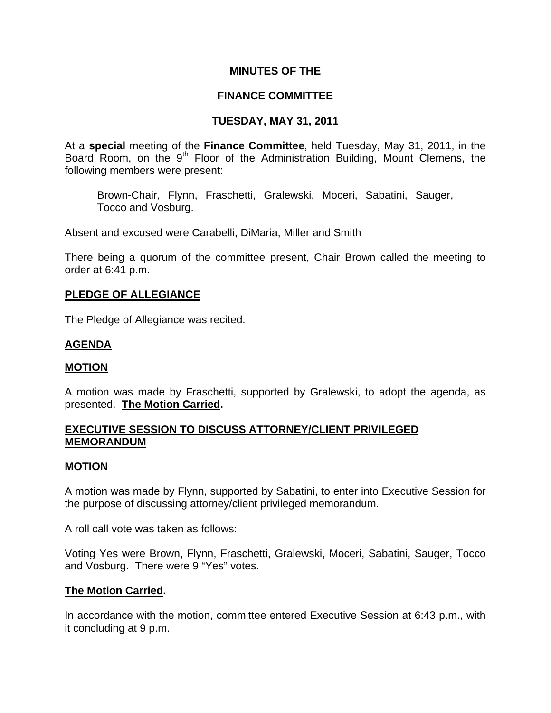# **MINUTES OF THE**

# **FINANCE COMMITTEE**

# **TUESDAY, MAY 31, 2011**

At a **special** meeting of the **Finance Committee**, held Tuesday, May 31, 2011, in the Board Room, on the 9<sup>th</sup> Floor of the Administration Building, Mount Clemens, the following members were present:

Brown-Chair, Flynn, Fraschetti, Gralewski, Moceri, Sabatini, Sauger, Tocco and Vosburg.

Absent and excused were Carabelli, DiMaria, Miller and Smith

There being a quorum of the committee present, Chair Brown called the meeting to order at 6:41 p.m.

## **PLEDGE OF ALLEGIANCE**

The Pledge of Allegiance was recited.

## **AGENDA**

#### **MOTION**

A motion was made by Fraschetti, supported by Gralewski, to adopt the agenda, as presented. **The Motion Carried.** 

# **EXECUTIVE SESSION TO DISCUSS ATTORNEY/CLIENT PRIVILEGED MEMORANDUM**

#### **MOTION**

A motion was made by Flynn, supported by Sabatini, to enter into Executive Session for the purpose of discussing attorney/client privileged memorandum.

A roll call vote was taken as follows:

Voting Yes were Brown, Flynn, Fraschetti, Gralewski, Moceri, Sabatini, Sauger, Tocco and Vosburg. There were 9 "Yes" votes.

# **The Motion Carried.**

In accordance with the motion, committee entered Executive Session at 6:43 p.m., with it concluding at 9 p.m.